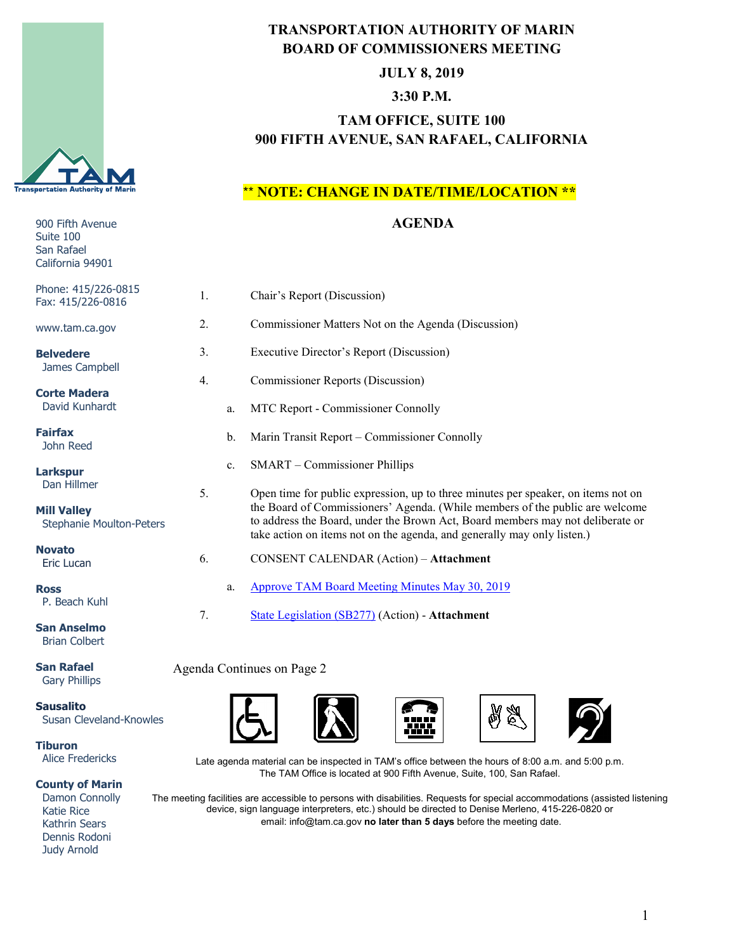

# 900 Fifth Avenue Suite 100 San Rafael California 94901 Phone: 415/226-0815 Fax: ww **Be**  James Campbell **Corte Madera** David Kunhardt **Fai**  John Reed **Larks** D<sub>b</sub> **Mi**<br>Si Stephanie Moulton-Peters **No**  Eric Lucan **Ross** P. Beach Kuhl **San Anselmo**  Brian Colbert

**San Rafael** Gary Phillips

**Sausalito** Susan Cleveland-Knowles

**Tiburon** Alice Fredericks

#### **County of Marin**

 Damon Connolly Katie Rice Kathrin Sears Dennis Rodoni Judy Arnold

### **TRANSPORTATION AUTHORITY OF MARIN BOARD OF COMMISSIONERS MEETING**

#### **JULY 8, 2019**

### **3:30 P.M.**

# **TAM OFFICE, SUITE 100 900 FIFTH AVENUE, SAN RAFAEL, CALIFORNIA**

### \*\* **NOTE: CHANGE IN DATE/TIME/LOCATION \*\***

### **AGENDA**

| one: 415/226-0815<br>x: 415/226-0816        | 1. |    | Chair's Report (Discussion)                                                                                                                                                                                                               |
|---------------------------------------------|----|----|-------------------------------------------------------------------------------------------------------------------------------------------------------------------------------------------------------------------------------------------|
| w.tam.ca.gov                                | 2. |    | Commissioner Matters Not on the Agenda (Discussion)                                                                                                                                                                                       |
| <b>Ivedere</b>                              | 3. |    | Executive Director's Report (Discussion)                                                                                                                                                                                                  |
| ames Campbell                               | 4. |    | <b>Commissioner Reports (Discussion)</b>                                                                                                                                                                                                  |
| rte Madera<br>avid Kunhardt                 |    | a. | MTC Report - Commissioner Connolly                                                                                                                                                                                                        |
| irfax<br>ohn Reed                           |    | b. | Marin Transit Report - Commissioner Connolly                                                                                                                                                                                              |
| rkspur                                      |    | c. | SMART – Commissioner Phillips                                                                                                                                                                                                             |
| an Hillmer                                  | 5. |    | Open time for public expression, up to three minutes per speaker, on items not on                                                                                                                                                         |
| <b>II Valley</b><br>tephanie Moulton-Peters |    |    | the Board of Commissioners' Agenda. (While members of the public are welcome<br>to address the Board, under the Brown Act, Board members may not deliberate or<br>take action on items not on the agenda, and generally may only listen.) |
| vato<br>ric Lucan                           | 6. |    | CONSENT CALENDAR (Action) - Attachment                                                                                                                                                                                                    |
| <b>SS</b><br>. Beach Kuhl                   |    | a. | <b>Approve TAM Board Meeting Minutes May 30, 2019</b>                                                                                                                                                                                     |
|                                             | 7. |    | State Legislation (SB277) (Action) - Attachment                                                                                                                                                                                           |
| n Anselmo<br>rian Colhert                   |    |    |                                                                                                                                                                                                                                           |

#### Agenda Continues on Page 2









Late agenda material can be inspected in TAM's office between the hours of 8:00 a.m. and 5:00 p.m. The TAM Office is located at 900 Fifth Avenue, Suite, 100, San Rafael.

The meeting facilities are accessible to persons with disabilities. Requests for special accommodations (assisted listening device, sign language interpreters, etc.) should be directed to Denise Merleno, 415-226-0820 or email: info@tam.ca.gov **no later than 5 days** before the meeting date.